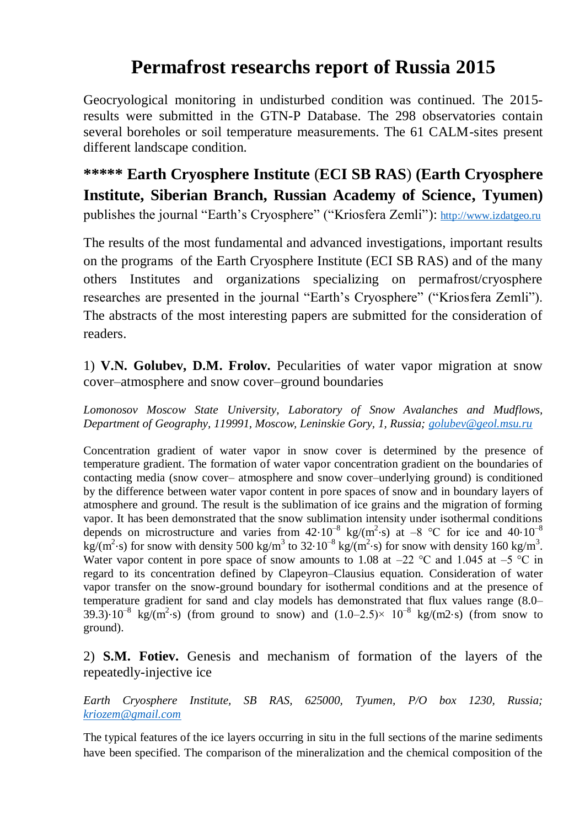# **Permafrost researchs report of Russia 2015**

Geocryological monitoring in undisturbed condition was continued. The 2015 results were submitted in the GTN-P Database. The 298 observatories contain several boreholes or soil temperature measurements. The 61 CALM-sites present different landscape condition.

**\*\*\*\*\* Earth Cryosphere Institute** (**ECI SB RAS**) **(Earth Cryosphere Institute, Siberian Branch, Russian Academy of Science, Тyumen)** publishes the journal "Earth's Cryosphere" ("Kriosfera Zemli"): [http://www.izdatgeo.ru](http://www.izdatgeo.ru/)

The results of the most fundamental and advanced investigations, important results on the programs of the Earth Cryosphere Institute (ECI SB RAS) and of the many others Institutes and organizations specializing on permafrost/cryosphere researches are presented in the journal "Earth's Cryosphere" ("Kriosfera Zemli"). The abstracts of the most interesting papers are submitted for the consideration of readers.

1) **V.N. Golubev, D.M. Frolov.** Pecularities of water vapor migration at snow cover–atmosphere and snow cover–ground boundaries

*Lomonosov Moscow State University, Laboratory of Snow Avalanches and Mudflows, Department of Geography, 119991, Moscow, Leninskie Gory, 1, Russia; [golubev@geol.msu.ru](mailto:golubev@geol.msu.ru)*

Concentration gradient of water vapor in snow cover is determined by the presence of temperature gradient. The formation of water vapor concentration gradient on the boundaries of contacting media (snow cover– atmosphere and snow cover–underlying ground) is conditioned by the difference between water vapor content in pore spaces of snow and in boundary layers of atmosphere and ground. The result is the sublimation of ice grains and the migration of forming vapor. It has been demonstrated that the snow sublimation intensity under isothermal conditions depends on microstructure and varies from  $42 \cdot 10^{-8}$  kg/(m<sup>2</sup>⋅s) at -8 °C for ice and 40⋅10<sup>-8</sup>  $\text{kg/(m}^2\text{-s})$  for snow with density 500 kg/m<sup>3</sup> to 32 $\cdot 10^{-8}$  kg/(m<sup>2</sup> $\cdot$ s) for snow with density 160 kg/m<sup>3</sup>. Water vapor content in pore space of snow amounts to 1.08 at  $-22$  °C and 1.045 at  $-5$  °C in regard to its concentration defined by Clapeyron–Clausius equation. Consideration of water vapor transfer on the snow-ground boundary for isothermal conditions and at the presence of temperature gradient for sand and clay models has demonstrated that flux values range (8.0– 39.3)⋅10<sup>-8</sup> kg/(m<sup>2</sup>⋅s) (from ground to snow) and  $(1.0-2.5) \times 10^{-8}$  kg/(m2⋅s) (from snow to ground).

2) **S.M. Fotiev.** Genesis and mechanism of formation of the layers of the repeatedly-injective ice

*Earth Cryosphere Institute, SB RAS, 625000, Tyumen, P/O box 1230, Russia; [kriozem@gmail.com](mailto:kriozem@gmail.com)*

The typical features of the ice layers occurring in situ in the full sections of the marine sediments have been specified. The comparison of the mineralization and the chemical composition of the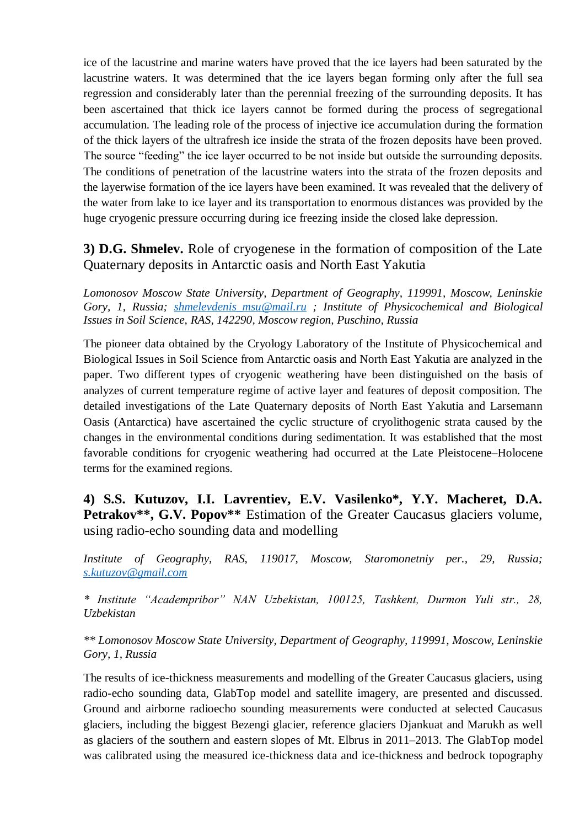ice of the lacustrine and marine waters have proved that the ice layers had been saturated by the lacustrine waters. It was determined that the ice layers began forming only after the full sea regression and considerably later than the perennial freezing of the surrounding deposits. It has been ascertained that thick ice layers cannot be formed during the process of segregational accumulation. The leading role of the process of injective ice accumulation during the formation of the thick layers of the ultrafresh ice inside the strata of the frozen deposits have been proved. The source "feeding" the ice layer occurred to be not inside but outside the surrounding deposits. The conditions of penetration of the lacustrine waters into the strata of the frozen deposits and the layerwise formation of the ice layers have been examined. It was revealed that the delivery of the water from lake to ice layer and its transportation to enormous distances was provided by the huge cryogenic pressure occurring during ice freezing inside the closed lake depression.

## **3) D.G. Shmelev.** Role of cryogenese in the formation of composition of the Late Quaternary deposits in Antarctic oasis and North East Yakutia

*Lomonosov Moscow State University, Department of Geography, 119991, Moscow, Leninskie Gory, 1, Russia; [shmelevdenis\\_msu@mail.ru](mailto:shmelevdenis_msu@mail.ru) ; Institute of Physicochemical and Biological Issues in Soil Science, RAS, 142290, Moscow region, Puschino, Russia*

The pioneer data obtained by the Cryology Laboratory of the Institute of Physicochemical and Biological Issues in Soil Science from Antarctic oasis and North East Yakutia are analyzed in the paper. Two different types of cryogenic weathering have been distinguished on the basis of analyzes of current temperature regime of active layer and features of deposit composition. The detailed investigations of the Late Quaternary deposits of North East Yakutia and Larsemann Oasis (Antarctica) have ascertained the cyclic structure of cryolithogenic strata caused by the changes in the environmental conditions during sedimentation. It was established that the most favorable conditions for cryogenic weathering had occurred at the Late Pleistocene–Holocene terms for the examined regions.

## **4) S.S. Kutuzov, I.I. Lavrentiev, E.V. Vasilenko\*, Y.Y. Macheret, D.A. Petrakov\*\*, G.V. Popov\*\*** Estimation of the Greater Caucasus glaciers volume, using radio-echo sounding data and modelling

*Institute of Geography, RAS, 119017, Moscow, Staromonetniy per., 29, Russia; [s.kutuzov@gmail.com](mailto:s.kutuzov@gmail.com)*

*\* Institute "Academpribor" NAN Uzbekistan, 100125, Tashkent, Durmon Yuli str., 28, Uzbekistan*

*\*\* Lomonosov Moscow State University, Department of Geography, 119991, Moscow, Leninskie Gory, 1, Russia*

The results of ice-thickness measurements and modelling of the Greater Caucasus glaciers, using radio-echo sounding data, GlabTop model and satellite imagery, are presented and discussed. Ground and airborne radioecho sounding measurements were conducted at selected Caucasus glaciers, including the biggest Bezengi glacier, reference glaciers Djankuat and Marukh as well as glaciers of the southern and eastern slopes of Mt. Elbrus in 2011–2013. The GlabTop model was calibrated using the measured ice-thickness data and ice-thickness and bedrock topography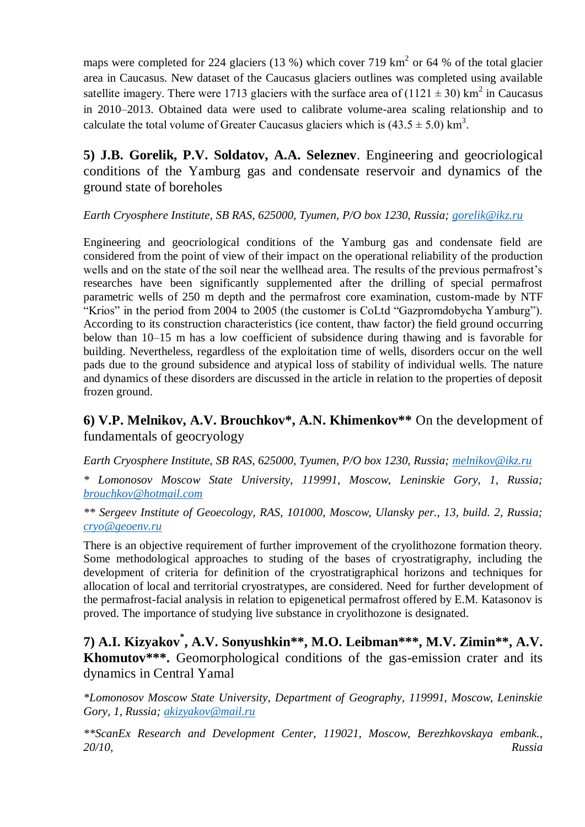maps were completed for 224 glaciers (13 %) which cover 719  $\text{km}^2$  or 64 % of the total glacier area in Caucasus. New dataset of the Caucasus glaciers outlines was completed using available satellite imagery. There were 1713 glaciers with the surface area of  $(1121 \pm 30)$  km<sup>2</sup> in Caucasus in 2010–2013. Obtained data were used to calibrate volume-area scaling relationship and to calculate the total volume of Greater Caucasus glaciers which is  $(43.5 \pm 5.0)$  km<sup>3</sup>.

**5) J.B. Gorelik, P.V. Soldatov, A.A. Seleznev**. Engineering and geocriological conditions of the Yamburg gas and condensate reservoir and dynamics of the ground state of boreholes

*Earth Cryosphere Institute, SB RAS, 625000, Tyumen, P/O box 1230, Russia; [gorelik@ikz.ru](mailto:gorelik@ikz.ru)*

Engineering and geocriological conditions of the Yamburg gas and condensate field are considered from the point of view of their impact on the operational reliability of the production wells and on the state of the soil near the wellhead area. The results of the previous permafrost's researches have been significantly supplemented after the drilling of special permafrost parametric wells of 250 m depth and the permafrost core examination, custom-made by NTF "Krios" in the period from 2004 to 2005 (the customer is CoLtd "Gazpromdobycha Yamburg"). According to its construction characteristics (ice content, thaw factor) the field ground occurring below than 10–15 m has a low coefficient of subsidence during thawing and is favorable for building. Nevertheless, regardless of the exploitation time of wells, disorders occur on the well pads due to the ground subsidence and atypical loss of stability of individual wells. The nature and dynamics of these disorders are discussed in the article in relation to the properties of deposit frozen ground.

**6) V.P. Melnikov, A.V. Brouchkov\*, A.N. Khimenkov\*\*** On the development of fundamentals of geocryology

*Earth Cryosphere Institute, SB RAS, 625000, Tyumen, P/O box 1230, Russia; [melnikov@ikz.ru](mailto:melnikov@ikz.ru)*

*\* Lomonosov Moscow State University, 119991, Moscow, Leninskie Gory, 1, Russia; [brouchkov@hotmail.com](mailto:brouchkov@hotmail.com)*

*\*\* Sergeev Institute of Geoecology, RAS, 101000, Moscow, Ulansky per., 13, build. 2, Russia; [cryo@geoenv.ru](mailto:cryo@geoenv.ru)*

There is an objective requirement of further improvement of the cryolithozone formation theory. Some methodological approaches to studing of the bases of cryostratigraphy, including the development of criteria for definition of the cryostratigraphical horizons and techniques for allocation of local and territorial cryostratypes, are considered. Need for further development of the permafrost-facial analysis in relation to epigenetical permafrost offered by E.M. Katasonov is proved. The importance of studying live substance in cryolithozone is designated.

**7) A.I. Kizyakov\* , A.V. Sonyushkin\*\*, M.O. Leibman\*\*\*, M.V. Zimin\*\*, A.V. Khomutov\*\*\*.** Geomorphological conditions of the gas-emission crater and its dynamics in Central Yamal

*\*Lomonosov Moscow State University, Department of Geography, 119991, Moscow, Leninskie Gory, 1, Russia; [akizyakov@mail.ru](mailto:akizyakov@mail.ru)*

*\*\*ScanEx Research and Development Center, 119021, Moscow, Berezhkovskaya embank., 20/10, Russia*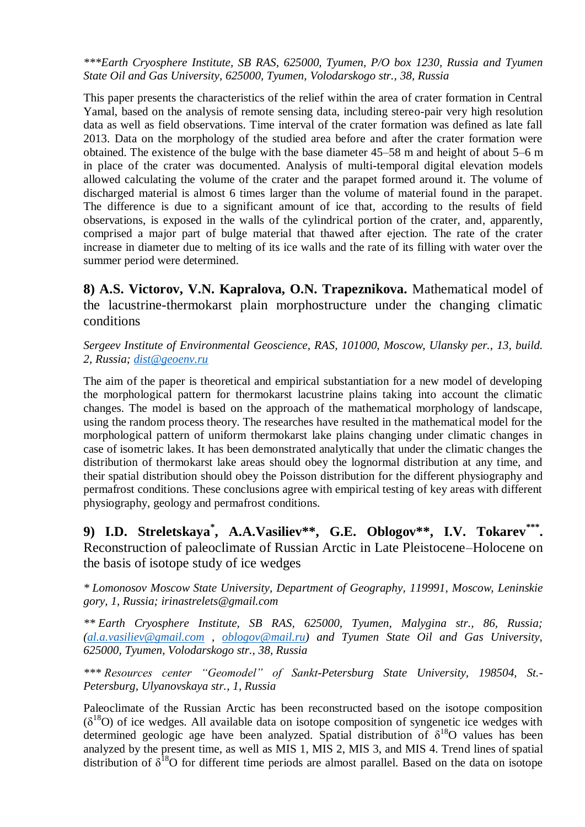#### *\*\*\*Earth Cryosphere Institute, SB RAS, 625000, Tyumen, P/O box 1230, Russia and Tyumen State Oil and Gas University, 625000, Tyumen, Volodarskogo str., 38, Russia*

This paper presents the characteristics of the relief within the area of crater formation in Central Yamal, based on the analysis of remote sensing data, including stereo-pair very high resolution data as well as field observations. Time interval of the crater formation was defined as late fall 2013. Data on the morphology of the studied area before and after the crater formation were obtained. The existence of the bulge with the base diameter 45–58 m and height of about 5–6 m in place of the crater was documented. Analysis of multi-temporal digital elevation models allowed calculating the volume of the crater and the parapet formed around it. The volume of discharged material is almost 6 times larger than the volume of material found in the parapet. The difference is due to a significant amount of ice that, according to the results of field observations, is exposed in the walls of the cylindrical portion of the crater, and, apparently, comprised a major part of bulge material that thawed after ejection. The rate of the crater increase in diameter due to melting of its ice walls and the rate of its filling with water over the summer period were determined.

**8) A.S. Victorov, V.N. Kapralova, O.N. Trapeznikova.** Mathematical model of the lacustrine-thermokarst plain morphostructure under the changing climatic conditions

*Sergeev Institute of Environmental Geoscience, RAS, 101000, Moscow, Ulansky per., 13, build. 2, Russia; [dist@geoenv.ru](mailto:dist@geoenv.ru)*

The aim of the paper is theoretical and empirical substantiation for a new model of developing the morphological pattern for thermokarst lacustrine plains taking into account the climatic changes. The model is based on the approach of the mathematical morphology of landscape, using the random process theory. The researches have resulted in the mathematical model for the morphological pattern of uniform thermokarst lake plains changing under climatic changes in case of isometric lakes. It has been demonstrated analytically that under the climatic changes the distribution of thermokarst lake areas should obey the lognormal distribution at any time, and their spatial distribution should obey the Poisson distribution for the different physiography and permafrost conditions. These conclusions agree with empirical testing of key areas with different physiography, geology and permafrost conditions.

**9) I.D. Streletskaya\* , A.A.Vasiliev\*\*, G.E. Oblogov\*\*, I.V. Tokarev\*\*\* .**  Reconstruction of paleoclimate of Russian Arctic in Late Pleistocene–Holocene on the basis of isotope study of ice wedges

*\* Lomonosov Moscow State University, Department of Geography, 119991, Moscow, Leninskie gory, 1, Russia; irinastrelets@gmail.com* 

*\*\* Earth Cryosphere Institute, SB RAS, 625000, Tyumen, Malygina str., 86, Russia; [\(al.a.vasiliev@gmail.com](mailto:al.a.vasiliev@gmail.com) , [oblogov@mail.ru\)](mailto:oblogov@mail.ru) and Tyumen State Oil and Gas University, 625000, Tyumen, Volodarskogo str., 38, Russia*

*\*\*\* Resources center "Geomodel" of Sankt-Petersburg State University, 198504, St.- Petersburg, Ulyanovskaya str., 1, Russia*

Paleoclimate of the Russian Arctic has been reconstructed based on the isotope composition  $(\delta^{18}O)$  of ice wedges. All available data on isotope composition of syngenetic ice wedges with determined geologic age have been analyzed. Spatial distribution of  $\delta^{18}O$  values has been analyzed by the present time, as well as MIS 1, MIS 2, MIS 3, and MIS 4. Trend lines of spatial distribution of  $\delta^{18}O$  for different time periods are almost parallel. Based on the data on isotope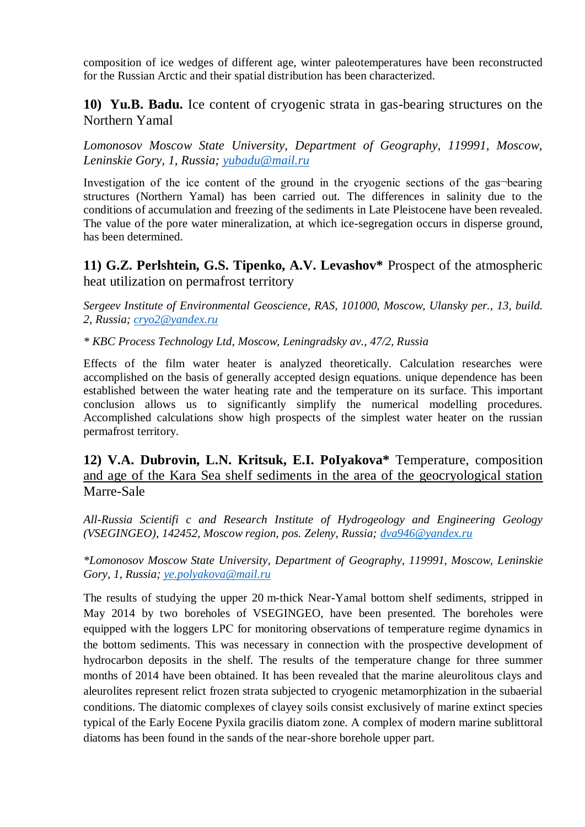composition of ice wedges of different age, winter paleotemperatures have been reconstructed for the Russian Arctic and their spatial distribution has been characterized.

**10) Yu.B. Badu.** Ice content of cryogenic strata in gas-bearing structures on the Northern Yamal

*Lomonosov Moscow State University, Department of Geography, 119991, Moscow, Leninskie Gory, 1, Russia; [yubadu@mail.ru](mailto:yubadu@mail.ru)*

Investigation of the ice content of the ground in the cryogenic sections of the gas¬bearing structures (Northern Yamal) has been carried out. The differences in salinity due to the conditions of accumulation and freezing of the sediments in Late Pleistocene have been revealed. The value of the pore water mineralization, at which ice-segregation occurs in disperse ground, has been determined.

### **11) G.Z. Perlshtein, G.S. Tipenko, A.V. Levashov\*** Prospect of the atmospheric heat utilization on permafrost territory

*Sergeev Institute of Environmental Geoscience, RAS, 101000, Moscow, Ulansky per., 13, build. 2, Russia; [cryo2@yandex.ru](mailto:cryo2@yandex.ru)*

*\* KBC Process Technology Ltd, Moscow, Leningradsky av., 47/2, Russia*

Effects of the film water heater is analyzed theoretically. Calculation researches were accomplished on the basis of generally accepted design equations. unique dependence has been established between the water heating rate and the temperature on its surface. This important conclusion allows us to significantly simplify the numerical modelling procedures. Accomplished calculations show high prospects of the simplest water heater on the russian permafrost territory.

**12) V.A. Dubrovin, L.N. Kritsuk, E.I. PoIyakova\*** Temperature, composition and age of the Kara Sea shelf sediments in the area of the geocryological station Marre-Sale

*All-Russia Scientifi c and Research Institute of Hydrogeology and Engineering Geology (VSEGINGEO), 142452, Moscow region, pos. Zeleny, Russia; [dva946@yandex.ru](mailto:dva946@yandex.ru)*

*\*Lomonosov Moscow State University, Department of Geography, 119991, Moscow, Leninskie Gory, 1, Russia; [ye.polyakova@mail.ru](mailto:ye.polyakova@mail.ru)*

The results of studying the upper 20 m-thick Near-Yamal bottom shelf sediments, stripped in May 2014 by two boreholes of VSEGINGEO, have been presented. The boreholes were equipped with the loggers LРС for monitoring observations of temperature regime dynamics in the bottom sediments. This was necessary in connection with the prospective development of hydrocarbon deposits in the shelf. The results of the temperature change for three summer months of 2014 have been obtained. It has been revealed that the marine aleurolitous clays and aleurolites represent relict frozen strata subjected to cryogenic metamorphization in the subaerial conditions. The diatomic complexes of clayey soils consist exclusively of marine extinct species typical of the Early Eocene Pyxila gracilis diatom zone. A complex of modern marine sublittoral diatoms has been found in the sands of the near-shore borehole upper part.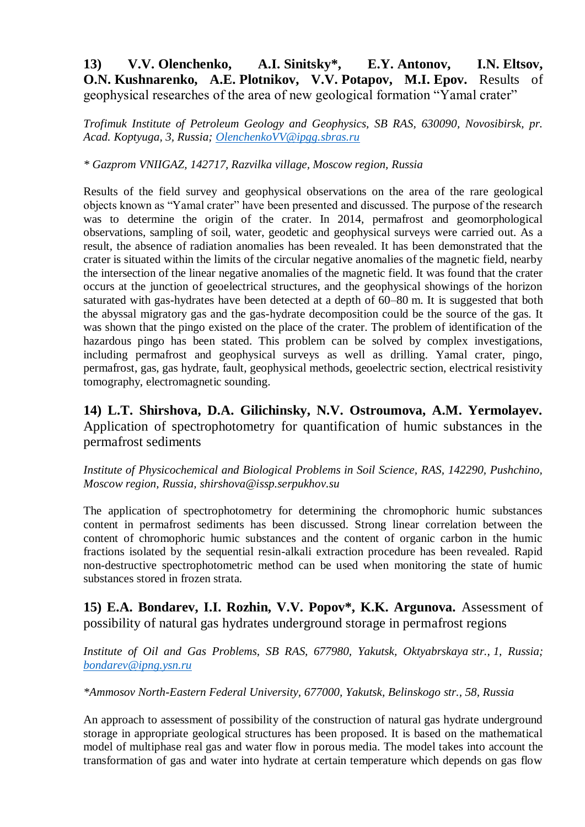## **13) V.V. Olenchenko, A.I. Sinitsky\*, E.Y. Antonov, I.N. Eltsov, O.N. Kushnarenko, A.E. Plotnikov, V.V. Potapov, M.I. Epov.** Results of geophysical researches of the area of new geological formation "Yamal crater"

*Trofimuk Institute of Petroleum Geology and Geophysics, SB RAS, 630090, Novosibirsk, pr. Acad. Koptyuga, 3, Russia; [OlenchenkoVV@ipgg.sbras.ru](mailto:OlenchenkoVV@ipgg.sbras.ru)*

*\* Gazprom VNIIGAZ, 142717, Razvilka village, Moscow region, Russia* 

Results of the field survey and geophysical observations on the area of the rare geological objects known as "Yamal crater" have been presented and discussed. The purpose of the research was to determine the origin of the crater. In 2014, permafrost and geomorphological observations, sampling of soil, water, geodetic and geophysical surveys were carried out. As a result, the absence of radiation anomalies has been revealed. It has been demonstrated that the crater is situated within the limits of the circular negative anomalies of the magnetic field, nearby the intersection of the linear negative anomalies of the magnetic field. It was found that the crater occurs at the junction of geoelectrical structures, and the geophysical showings of the horizon saturated with gas-hydrates have been detected at a depth of 60–80 m. It is suggested that both the abyssal migratory gas and the gas-hydrate decomposition could be the source of the gas. It was shown that the pingo existed on the place of the crater. The problem of identification of the hazardous pingo has been stated. This problem can be solved by complex investigations, including permafrost and geophysical surveys as well as drilling. Yamal crater, pingo, permafrost, gas, gas hydrate, fault, geophysical methods, geoelectric section, electrical resistivity tomography, electromagnetic sounding.

**14) L.T. Shirshova, D.A. Gilichinsky, N.V. Ostroumova, A.M. Yermolayev.** Application of spectrophotometry for quantification of humic substances in the permafrost sediments

*Institute of Physicochemical and Biological Problems in Soil Science, RAS, 142290, Pushchino, Moscow region, Russia, shirshova@issp.serpukhov.su*

The application of spectrophotometry for determining the chromophoric humic substances content in permafrost sediments has been discussed. Strong linear correlation between the content of chromophoric humic substances and the content of organic carbon in the humic fractions isolated by the sequential resin-alkali extraction procedure has been revealed. Rapid non-destructive spectrophotometric method can be used when monitoring the state of humic substances stored in frozen strata.

**15) E.A. Bondarev, I.I. Rozhin, V.V. Popov\*, K.K. Argunova.** Assessment of possibility of natural gas hydrates underground storage in permafrost regions

*Institute of Oil and Gas Problems, SB RAS, 677980, Yakutsk, Oktyabrskaya str., 1, Russia; [bondarev@ipng.ysn.ru](mailto:bondarev@ipng.ysn.ru)*

*\*Ammosov North-Eastern Federal University, 677000, Yakutsk, Belinskogo str., 58, Russia* 

An approach to assessment of possibility of the construction of natural gas hydrate underground storage in appropriate geological structures has been proposed. It is based on the mathematical model of multiphase real gas and water flow in porous media. The model takes into account the transformation of gas and water into hydrate at certain temperature which depends on gas flow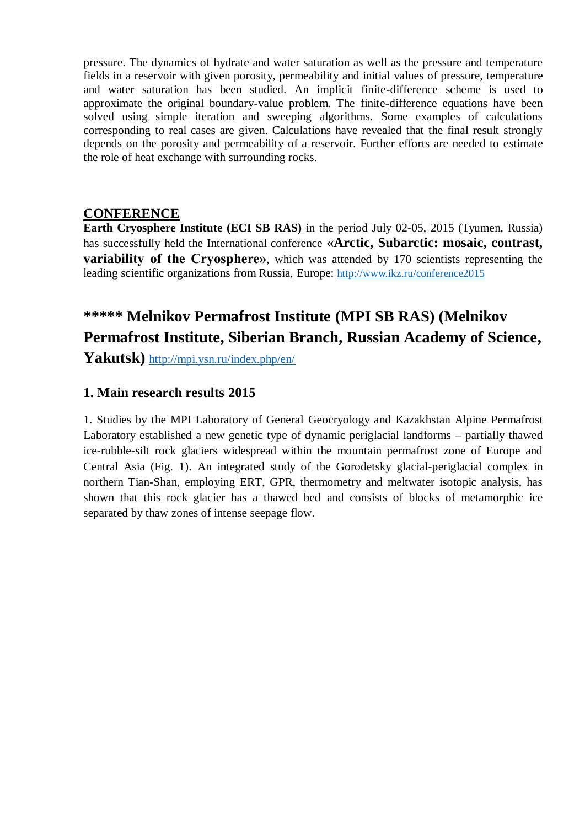pressure. The dynamics of hydrate and water saturation as well as the pressure and temperature fields in a reservoir with given porosity, permeability and initial values of pressure, temperature and water saturation has been studied. An implicit finite-difference scheme is used to approximate the original boundary-value problem. The finite-difference equations have been solved using simple iteration and sweeping algorithms. Some examples of calculations corresponding to real cases are given. Calculations have revealed that the final result strongly depends on the porosity and permeability of a reservoir. Further efforts are needed to estimate the role of heat exchange with surrounding rocks.

### **CONFERENCE**

**Earth Cryosphere Institute (ECI SB RAS)** in the period July 02-05, 2015 (Tyumen, Russia) has successfully held the International conference **«Arctic, Subarctic: mosaic, contrast, variability of the Cryosphere**», which was attended by 170 scientists representing the leading scientific organizations from Russia, Europe: <http://www.ikz.ru/conference2015>

## **\*\*\*\*\* Melnikov Permafrost Institute (MPI SB RAS) (Melnikov Permafrost Institute, Siberian Branch, Russian Academy of Science,**

**Yakutsk)** <http://mpi.ysn.ru/index.php/en/>

## **1. Main research results 2015**

1. Studies by the MPI Laboratory of General Geocryology and Kazakhstan Alpine Permafrost Laboratory established a new genetic type of dynamic periglacial landforms – partially thawed ice-rubble-silt rock glaciers widespread within the mountain permafrost zone of Europe and Central Asia (Fig. 1). An integrated study of the Gorodetsky glacial-periglacial complex in northern Tian-Shan, employing ERT, GPR, thermometry and meltwater isotopic analysis, has shown that this rock glacier has a thawed bed and consists of blocks of metamorphic ice separated by thaw zones of intense seepage flow.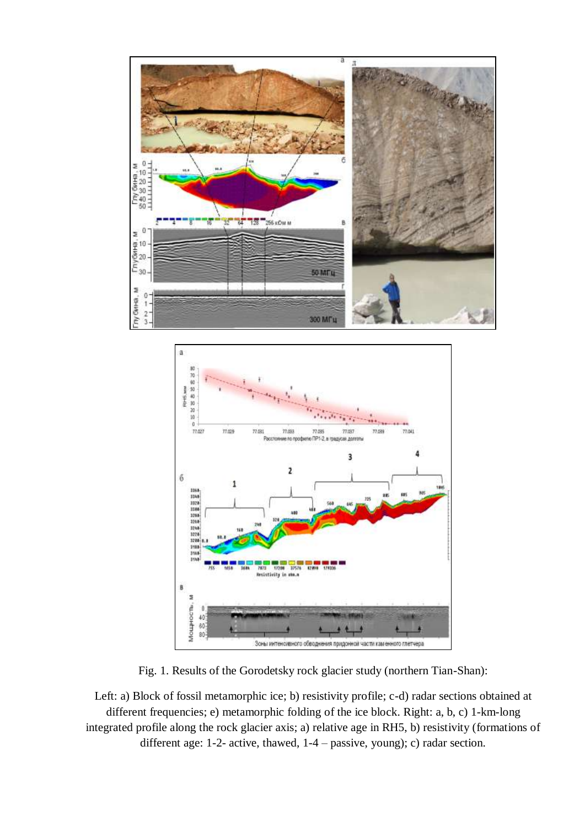



Fig. 1. Results of the Gorodetsky rock glacier study (northern Tian-Shan):

Left: a) Block of fossil metamorphic ice; b) resistivity profile; c-d) radar sections obtained at different frequencies; e) metamorphic folding of the ice block. Right: a, b, c) 1-km-long integrated profile along the rock glacier axis; a) relative age in RH5, b) resistivity (formations of different age: 1-2- active, thawed, 1-4 – passive, young); c) radar section.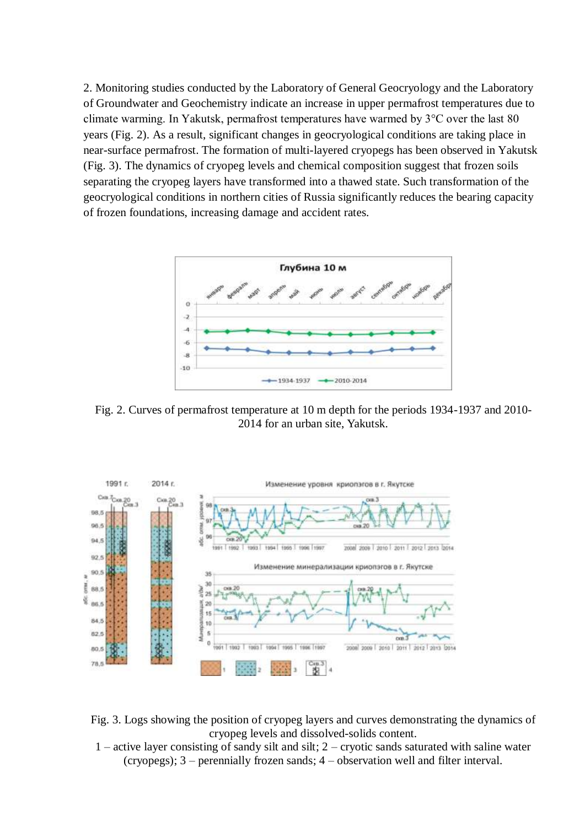2. Monitoring studies conducted by the Laboratory of General Geocryology and the Laboratory of Groundwater and Geochemistry indicate an increase in upper permafrost temperatures due to climate warming. In Yakutsk, permafrost temperatures have warmed by 3°C over the last 80 years (Fig. 2). As a result, significant changes in geocryological conditions are taking place in near-surface permafrost. The formation of multi-layered cryopegs has been observed in Yakutsk (Fig. 3). The dynamics of cryopeg levels and chemical composition suggest that frozen soils separating the cryopeg layers have transformed into a thawed state. Such transformation of the geocryological conditions in northern cities of Russia significantly reduces the bearing capacity of frozen foundations, increasing damage and accident rates.



Fig. 2. Curves of permafrost temperature at 10 m depth for the periods 1934-1937 and 2010- 2014 for an urban site, Yakutsk.



Fig. 3. Logs showing the position of cryopeg layers and curves demonstrating the dynamics of cryopeg levels and dissolved-solids content.

1 – active layer consisting of sandy silt and silt; 2 – cryotic sands saturated with saline water (cryopegs); 3 – perennially frozen sands; 4 – observation well and filter interval.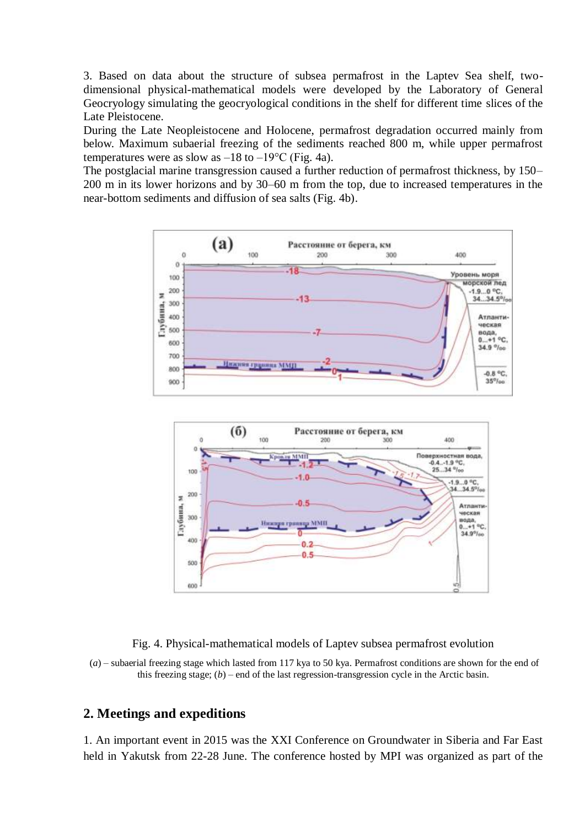3. Based on data about the structure of subsea permafrost in the Laptev Sea shelf, twodimensional physical-mathematical models were developed by the Laboratory of General Geocryology simulating the geocryological conditions in the shelf for different time slices of the Late Pleistocene.

During the Late Neopleistocene and Holocene, permafrost degradation occurred mainly from below. Maximum subaerial freezing of the sediments reached 800 m, while upper permafrost temperatures were as slow as  $-18$  to  $-19^{\circ}$ C (Fig. 4a).

The postglacial marine transgression caused a further reduction of permafrost thickness, by 150– 200 m in its lower horizons and by 30–60 m from the top, due to increased temperatures in the near-bottom sediments and diffusion of sea salts (Fig. 4b).





(*a*) – subaerial freezing stage which lasted from 117 kya to 50 kya. Permafrost conditions are shown for the end of this freezing stage; (*b*) – end of the last regression-transgression cycle in the Arctic basin.

#### **2. Meetings and expeditions**

eon

1. An important event in 2015 was the XXI Conference on Groundwater in Siberia and Far East held in Yakutsk from 22-28 June. The conference hosted by MPI was organized as part of the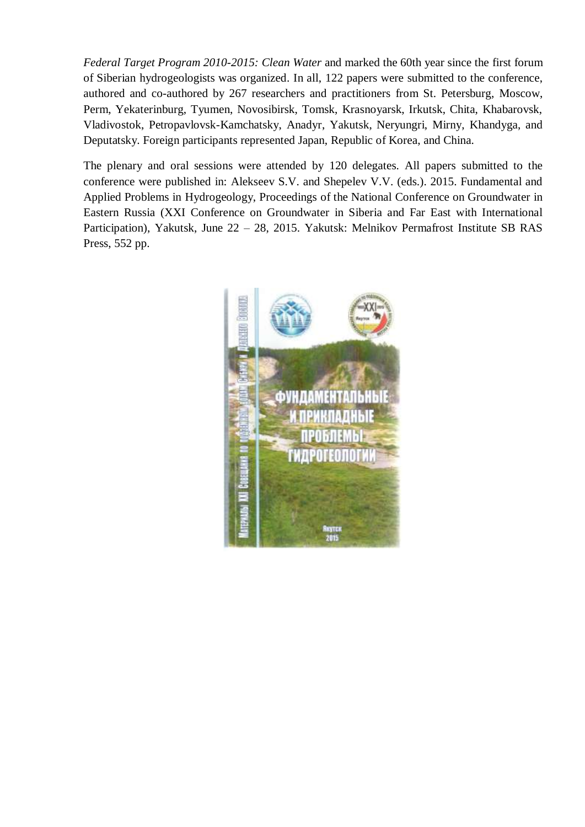*Federal Target Program 2010-2015: Clean Water* and marked the 60th year since the first forum of Siberian hydrogeologists was organized. In all, 122 papers were submitted to the conference, authored and co-authored by 267 researchers and practitioners from St. Petersburg, Moscow, Perm, Yekaterinburg, Tyumen, Novosibirsk, Tomsk, Krasnoyarsk, Irkutsk, Chita, Khabarovsk, Vladivostok, Petropavlovsk-Kamchatsky, Anadyr, Yakutsk, Neryungri, Mirny, Khandyga, and Deputatsky. Foreign participants represented Japan, Republic of Korea, and China.

The plenary and oral sessions were attended by 120 delegates. All papers submitted to the conference were published in: Alekseev S.V. and Shepelev V.V. (eds.). 2015. Fundamental and Applied Problems in Hydrogeology, Proceedings of the National Conference on Groundwater in Eastern Russia (XXI Conference on Groundwater in Siberia and Far East with International Participation), Yakutsk, June 22 – 28, 2015. Yakutsk: Melnikov Permafrost Institute SB RAS Press, 552 pp.

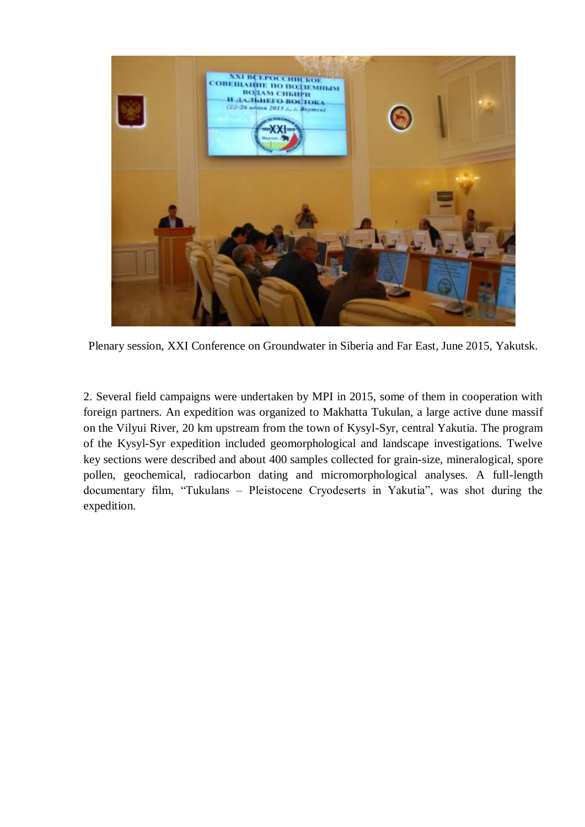

Plenary session, XXI Conference on Groundwater in Siberia and Far East, June 2015, Yakutsk.

2. Several field campaigns were undertaken by MPI in 2015, some of them in cooperation with foreign partners. An expedition was organized to Makhatta Tukulan, a large active dune massif on the Vilyui River, 20 km upstream from the town of Kysyl-Syr, central Yakutia. The program of the Kysyl-Syr expedition included geomorphological and landscape investigations. Twelve key sections were described and about 400 samples collected for grain-size, mineralogical, spore pollen, geochemical, radiocarbon dating and micromorphological analyses. A full-length documentary film, "Tukulans – Pleistocene Cryodeserts in Yakutia", was shot during the expedition.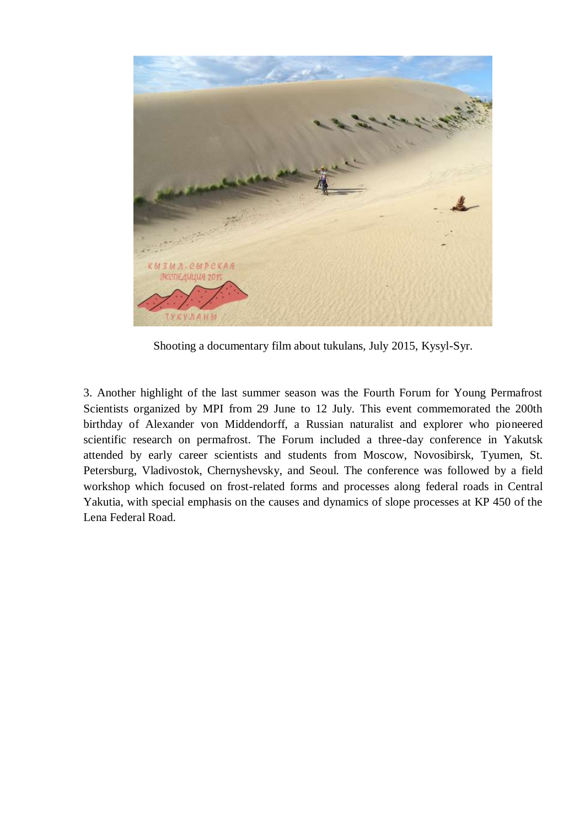

Shooting a documentary film about tukulans, July 2015, Kysyl-Syr.

3. Another highlight of the last summer season was the Fourth Forum for Young Permafrost Scientists organized by MPI from 29 June to 12 July. This event commemorated the 200th birthday of Alexander von Middendorff, a Russian naturalist and explorer who pioneered scientific research on permafrost. The Forum included a three-day conference in Yakutsk attended by early career scientists and students from Moscow, Novosibirsk, Tyumen, St. Petersburg, Vladivostok, Chernyshevsky, and Seoul. The conference was followed by a field workshop which focused on frost-related forms and processes along federal roads in Central Yakutia, with special emphasis on the causes and dynamics of slope processes at KP 450 of the Lena Federal Road.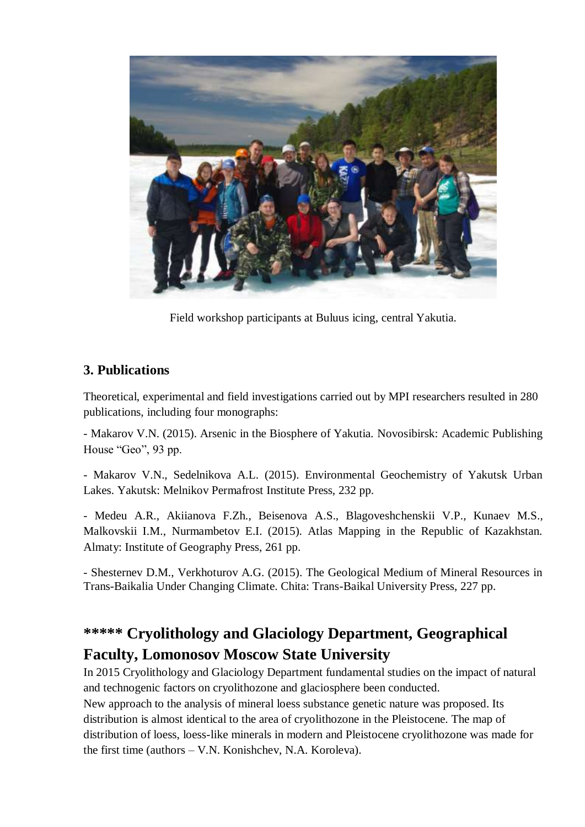

Field workshop participants at Buluus icing, central Yakutia.

## **3. Publications**

Theoretical, experimental and field investigations carried out by MPI researchers resulted in 280 publications, including four monographs:

- Makarov V.N. (2015). Arsenic in the Biosphere of Yakutia. Novosibirsk: Academic Publishing House "Geo", 93 pp.

- Makarov V.N., Sedelnikova A.L. (2015). Environmental Geochemistry of Yakutsk Urban Lakes. Yakutsk: Melnikov Permafrost Institute Press, 232 pp.

- Medeu A.R., Akiianova F.Zh., Beisenova A.S., Blagoveshchenskii V.P., Kunaev M.S., Malkovskii I.M., Nurmambetov E.I. (2015). Atlas Mapping in the Republic of Kazakhstan. Almaty: Institute of Geography Press, 261 pp.

- Shesternev D.M., Verkhoturov A.G. (2015). The Geological Medium of Mineral Resources in Trans-Baikalia Under Changing Climate. Chita: Trans-Baikal University Press, 227 pp.

## **\*\*\*\*\* Cryolithology and Glaciology Department, Geographical Faculty, Lomonosov Moscow State University**

In 2015 Cryolithology and Glaciology Department fundamental studies on the impact of natural and technogenic factors on cryolithozone and glaciosphere been conducted. New approach to the analysis of mineral loess substance genetic nature was proposed. Its distribution is almost identical to the area of cryolithozone in the Pleistocene. The map of distribution of loess, loess-like minerals in modern and Pleistocene cryolithozone was made for the first time (authors – V.N. Konishchev, N.A. Koroleva).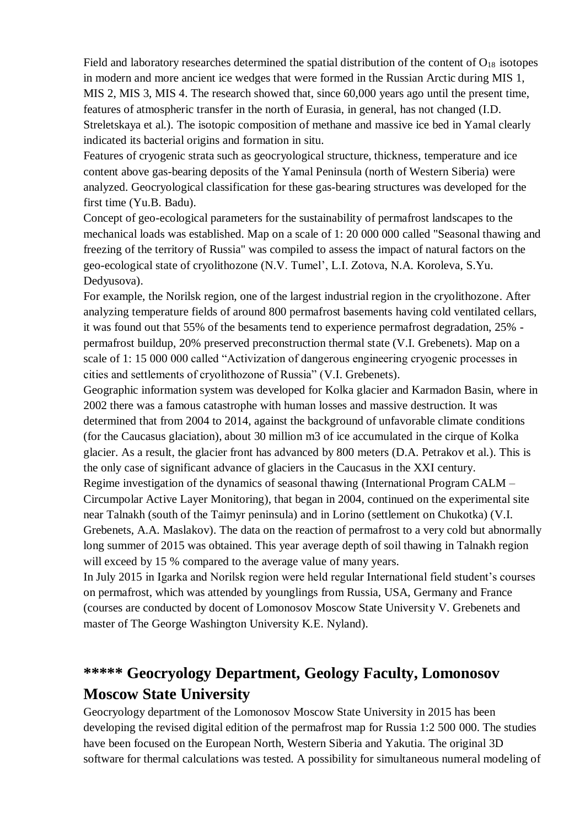Field and laboratory researches determined the spatial distribution of the content of  $O_{18}$  isotopes in modern and more ancient ice wedges that were formed in the Russian Arctic during MIS 1, MIS 2, MIS 3, MIS 4. The research showed that, since 60,000 years ago until the present time, features of atmospheric transfer in the north of Eurasia, in general, has not changed (I.D. Streletskaya et al.). The isotopic composition of methane and massive ice bed in Yamal clearly indicated its bacterial origins and formation in situ.

Features of cryogenic strata such as geocryological structure, thickness, temperature and ice content above gas-bearing deposits of the Yamal Peninsula (north of Western Siberia) were analyzed. Geocryological classification for these gas-bearing structures was developed for the first time (Yu.B. Badu).

Concept of geo-ecological parameters for the sustainability of permafrost landscapes to the mechanical loads was established. Map on a scale of 1: 20 000 000 called "Seasonal thawing and freezing of the territory of Russia" was compiled to assess the impact of natural factors on the geo-ecological state of cryolithozone (N.V. Tumel', L.I. Zotova, N.A. Koroleva, S.Yu. Dedyusova).

For example, the Norilsk region, one of the largest industrial region in the cryolithozone. After analyzing temperature fields of around 800 permafrost basements having cold ventilated cellars, it was found out that 55% of the besaments tend to experience permafrost degradation, 25% permafrost buildup, 20% preserved preconstruction thermal state (V.I. Grebenets). Map on a scale of 1: 15 000 000 called "Activization of dangerous engineering cryogenic processes in cities and settlements of cryolithozone of Russia" (V.I. Grebenets).

Geographic information system was developed for Kolka glacier and Karmadon Basin, where in 2002 there was a famous catastrophe with human losses and massive destruction. It was determined that from 2004 to 2014, against the background of unfavorable climate conditions (for the Caucasus glaciation), about 30 million m3 of ice accumulated in the cirque of Kolka glacier. As a result, the glacier front has advanced by 800 meters (D.A. Petrakov et al.). This is the only case of significant advance of glaciers in the Caucasus in the XXI century. Regime investigation of the dynamics of seasonal thawing (International Program CALM –

Circumpolar Active Layer Monitoring), that began in 2004, continued on the experimental site near Talnakh (south of the Taimyr peninsula) and in Lorino (settlement on Chukotka) (V.I. Grebenets, A.A. Maslakov). The data on the reaction of permafrost to a very cold but abnormally long summer of 2015 was obtained. This year average depth of soil thawing in Talnakh region will exceed by 15 % compared to the average value of many years.

In July 2015 in Igarka and Norilsk region were held regular International field student's courses on permafrost, which was attended by younglings from Russia, USA, Germany and France (courses are conducted by docent of Lomonosov Moscow State University V. Grebenets and master of The George Washington University K.E. Nyland).

## **\*\*\*\*\* Geocryology Department, Geology Faculty, Lomonosov Moscow State University**

Geocryology department of the Lomonosov Moscow State University in 2015 has been developing the revised digital edition of the permafrost map for Russia 1:2 500 000. The studies have been focused on the European North, Western Siberia and Yakutia. The original 3D software for thermal calculations was tested. A possibility for simultaneous numeral modeling of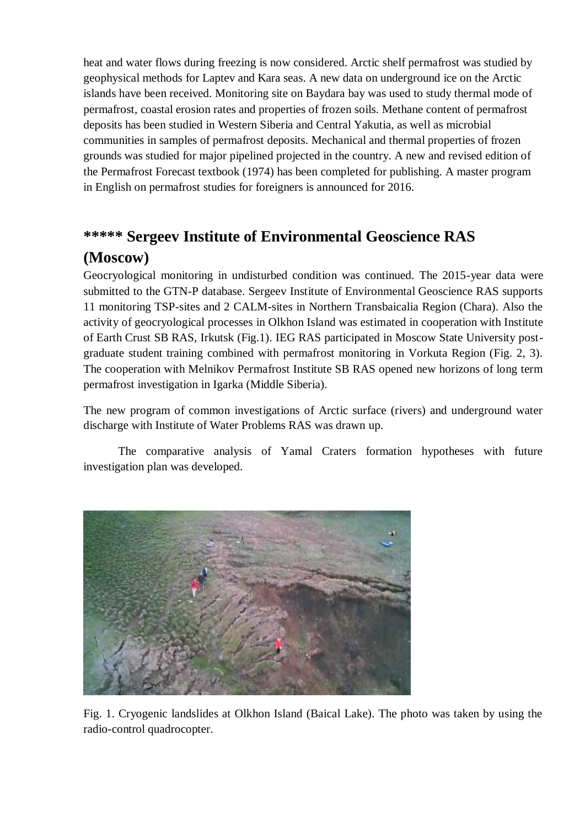heat and water flows during freezing is now considered. Arctic shelf permafrost was studied by geophysical methods for Laptev and Kara seas. A new data on underground ice on the Arctic islands have been received. Monitoring site on Baydara bay was used to study thermal mode of permafrost, coastal erosion rates and properties of frozen soils. Methane content of permafrost deposits has been studied in Western Siberia and Central Yakutia, as well as microbial communities in samples of permafrost deposits. Mechanical and thermal properties of frozen grounds was studied for major pipelined projected in the country. A new and revised edition of the Permafrost Forecast textbook (1974) has been completed for publishing. A master program in English on permafrost studies for foreigners is announced for 2016.

## **\*\*\*\*\* Sergeev Institute of Environmental Geoscience RAS (Moscow)**

Geocryological monitoring in undisturbed condition was continued. The 2015-year data were submitted to the GTN-P database. Sergeev Institute of Environmental Geoscience RAS supports 11 monitoring TSP-sites and 2 CALM-sites in Northern Transbaicalia Region (Chara). Also the activity of geocryological processes in Olkhon Island was estimated in cooperation with Institute of Earth Crust SB RAS, Irkutsk (Fig.1). IEG RAS participated in Moscow State University postgraduate student training combined with permafrost monitoring in Vorkuta Region (Fig. 2, 3). The cooperation with Melnikov Permafrost Institute SB RAS opened new horizons of long term permafrost investigation in Igarka (Middle Siberia).

The new program of common investigations of Arctic surface (rivers) and underground water discharge with Institute of Water Problems RAS was drawn up.

The comparative analysis of Yamal Craters formation hypotheses with future investigation plan was developed.



Fig. 1. Cryogenic landslides at Olkhon Island (Baical Lake). The photo was taken by using the radio-control quadrocopter.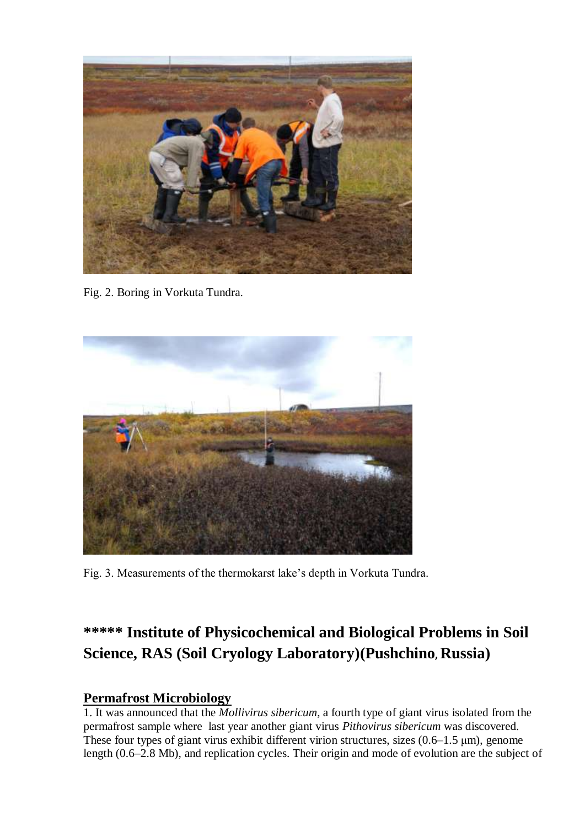

Fig. 2. Boring in Vorkuta Tundra.



Fig. 3. Measurements of the thermokarst lake's depth in Vorkuta Tundra.

# **\*\*\*\*\* Institute of Physicochemical and Biological Problems in Soil Science, RAS (Soil Cryology Laboratory)(Pushchino, Russia)**

## **Permafrost Microbiology**

1. It was announced that the *Mollivirus sibericum*, a fourth type of giant virus isolated from the permafrost sample where last year another giant virus *Pithovirus sibericum* was discovered. These four types of giant virus exhibit different virion structures, sizes  $(0.6-1.5 \,\mu m)$ , genome length (0.6–2.8 Mb), and replication cycles. Their origin and mode of evolution are the subject of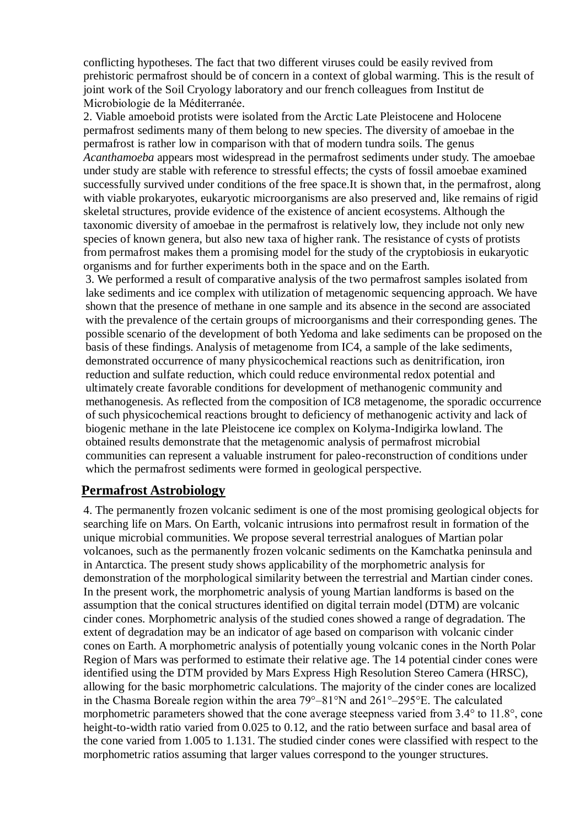conflicting hypotheses. The fact that two different viruses could be easily revived from prehistoric permafrost should be of concern in a context of global warming. This is the result of joint work of the Soil Cryology laboratory and our french colleagues from Institut de Microbiologie de la Méditerranée.

2. Viable amoeboid protists were isolated from the Arctic Late Pleistocene and Holocene permafrost sediments many of them belong to new species. The diversity of amoebae in the permafrost is rather low in comparison with that of modern tundra soils. The genus *Acanthamoeba* appears most widespread in the permafrost sediments under study. The amoebae under study are stable with reference to stressful effects; the cysts of fossil amoebae examined successfully survived under conditions of the free space.It is shown that, in the permafrost, along with viable prokaryotes, eukaryotic microorganisms are also preserved and, like remains of rigid skeletal structures, provide evidence of the existence of ancient ecosystems. Although the taxonomic diversity of amoebae in the permafrost is relatively low, they include not only new species of known genera, but also new taxa of higher rank. The resistance of cysts of protists from permafrost makes them a promising model for the study of the cryptobiosis in eukaryotic organisms and for further experiments both in the space and on the Earth.

3. We performed a result of comparative analysis of the two permafrost samples isolated from lake sediments and ice complex with utilization of metagenomic sequencing approach. We have shown that the presence of methane in one sample and its absence in the second are associated with the prevalence of the certain groups of microorganisms and their corresponding genes. The possible scenario of the development of both Yedoma and lake sediments can be proposed on the basis of these findings. Analysis of metagenome from IC4, a sample of the lake sediments, demonstrated occurrence of many physicochemical reactions such as denitrification, iron reduction and sulfate reduction, which could reduce environmental redox potential and ultimately create favorable conditions for development of methanogenic community and methanogenesis. As reflected from the composition of IC8 metagenome, the sporadic occurrence of such physicochemical reactions brought to deficiency of methanogenic activity and lack of biogenic methane in the late Pleistocene ice complex on Kolyma-Indigirka lowland. The obtained results demonstrate that the metagenomic analysis of permafrost microbial communities can represent a valuable instrument for paleo-reconstruction of conditions under which the permafrost sediments were formed in geological perspective.

#### **Permafrost Astrobiology**

4. The permanently frozen volcanic sediment is one of the most promising geological objects for searching life on Mars. On Earth, volcanic intrusions into permafrost result in formation of the unique microbial communities. We propose several terrestrial analogues of Martian polar volcanoes, such as the permanently frozen volcanic sediments on the Kamchatka peninsula and in Antarctica. The present study shows applicability of the morphometric analysis for demonstration of the morphological similarity between the terrestrial and Martian cinder cones. In the present work, the morphometric analysis of young Martian landforms is based on the assumption that the conical structures identified on digital terrain model (DTM) are volcanic cinder cones. Morphometric analysis of the studied cones showed a range of degradation. The extent of degradation may be an indicator of age based on comparison with volcanic cinder cones on Earth. A morphometric analysis of potentially young volcanic cones in the North Polar Region of Mars was performed to estimate their relative age. The 14 potential cinder cones were identified using the DTM provided by Mars Express High Resolution Stereo Camera (HRSC), allowing for the basic morphometric calculations. The majority of the cinder cones are localized in the Chasma Boreale region within the area 79°–81°N and 261°–295°E. The calculated morphometric parameters showed that the cone average steepness varied from 3.4° to 11.8°, cone height-to-width ratio varied from 0.025 to 0.12, and the ratio between surface and basal area of the cone varied from 1.005 to 1.131. The studied cinder cones were classified with respect to the morphometric ratios assuming that larger values correspond to the younger structures.